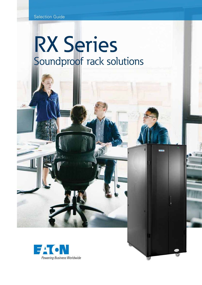# RX Series Soundproof rack solutions

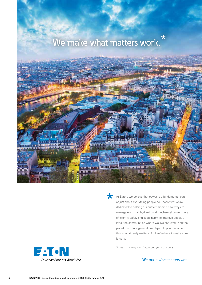



At Eaton, we believe that power is a fundamental part of just about everything people do. That's why we're dedicated to helping our customers find new ways to manage electrical, hydraulic and mechanical power more efficiently, safely and sustainably. To improve people's lives, the communities where we live and work, and the planet our future generations depend upon. Because this is what really matters. And we're here to make sure it works.

To learn more go to: Eaton.com/whatmatters



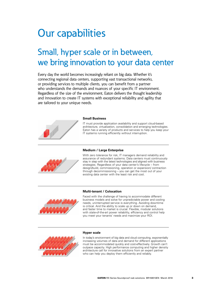# Our capabilities

## Small, hyper scale or in between, we bring innovation to your data center

Every day the world becomes increasingly reliant on big data. Whether it's connecting regional data centers, supporting vast transactional networks, or providing services to multiple clients, you can benefit from a partner who understands the demands and nuances of your specific IT environment. Regardless of the size of the environment, Eaton delivers the thought leadership and innovation to create IT systems with exceptional reliability and agility that are tailored to your unique needs.



#### **Small Business**

IT must provide application availability and support cloud-based architecture, virtualization, consolidation and emerging technologies. Eaton has a variety of products and services to help you keep your IT systems running efficiently without interruption.



#### **Medium / Large Enterprise**

With zero tolerance for risk, IT managers demand reliability and assurance of redundant systems. Data centers must continuously stay in step with the latest technologies and aligned with business strategies. Regardless of your data center's lifecycle – from design/build, commissioning, operation or expansion/ contraction through decommissioning – you can get the most out of your existing data center with the least risk and cost.





Faced with the challenge of having to accommodate different business models and solve for unpredictable power and cooling needs, uninterrupted service is everything. Avoiding downtime is critical. And the ability to scale up or down on demand, and faster time to market is crucial. Flexible, modular solutions with state-of-the-art power reliability, efficiency and control help you meet your tenants' needs and maximize your ROI.



#### **Hyper scale**

In today's environment of big data and cloud computing, exponentially increasing volumes of data and demand for different applications must be accommodated quickly and cost-effectively. Growth can't outpace capacity. High performance computing and higher density architecture call for innovative solutions from an expert partner who can help you deploy them efficiently and reliably.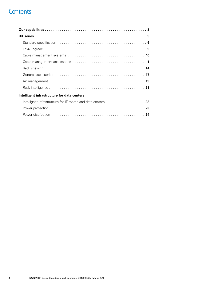### **Contents**

| Intelligent infrastructure for data centers |
|---------------------------------------------|
|                                             |
|                                             |
|                                             |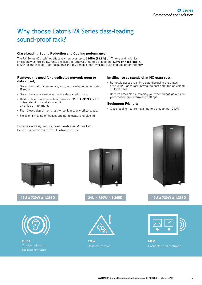## Why choose Eaton's RX Series class-leading sound-proof rack?

### **Class-Leading Sound Reduction and Cooling performance**

The RX Series 42U cabinet effectively removes up to **31dBA (99.9%)** of IT noise and, with it's intelligently controlled EC fans, enables the removal of up to a staggering **12kW of heat load** in a 42U height cabinet. That means that the RX Series is both whisper-quiet and equipment-friendly.

#### **Removes the need for a dedicated network room or data closet;**

- Saves the cost of constructing and / or maintaining a dedicated IT room
- Saves the space associated with a dedicated IT room
- Best in class sound reduction; Removes **31dBA (99.9%)** of IT noise, allowing installation within an office environment.
- Fast & easy deployment; just wheel it in to any office space.
- Flexible; if moving office just unplug, relocate, and plug-in!

Provides a safe, secure, well ventilated & resilient hosting environment for IT infrastructure

#### **Intelligence as standard, at NO extra cost;**

- Remotely access real-time data displaying the status of your RX Series rack; Saves the cost and time of visiting multiple sites
- Receive email alerts, advising you when things go outside your chosen pre-determined settings

#### **Equipment Friendly;**

• Class leading heat removal; up to a staggering 12kW!





**31dBA**



**12U x 720W x 1,265D 24U x 720W x 1,265D 42U x 720W x 1,265D**



**12kW**





**M2M**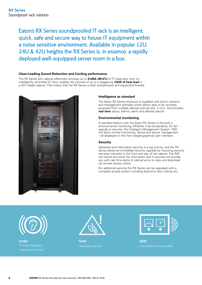Eaton's RX Series soundproofed IT rack is an intelligent, quick, safe and secure way to house IT equipment within a noise sensitive environment. Available in popular 12U, 24U & 42U heights the RX Series is, in essence, a rapidly deployed well-equipped server room in a box.

#### **Class-Leading Sound Reduction and Cooling performance**

The RX Series 42U cabinet effectively removes up to **31dBA (99.9%)** of IT noise and, with it's intelligently controlled EC fans, enables the removal of up to a staggering **12kW of heat load** in a 42U height cabinet. That means that the RX Series is both whisper-quiet and equipment-friendly.



#### **Intelligence as standard**

The Eaton RX Series enclosure is supplied with built-in sensors and management software which allows data to be remotely accessed from multiple devices and servers. In turn, this provides **real time** status, alarms, alerts and defined reports.

#### **Environmental monitoring**

A standard feature with the Eaton RX Series is the built in environmental monitoring. Whether it be temperature, EC fan speeds or security, the Intelligent Management System 'IMS' will allow remote monitoring, device and sensor management – all displayed on the free integral graphical user interface.

#### **Security**

Hardware and information security is a top priority, and the RX Series allows an immediate security upgrade by mounting security cameras internally to the front and rear of the cabinet. The IMS will record and store the information and if required will provide you with real time alerts of cabinet entry to view and download via remote access online.

For additional security the RX Series can be upgraded with a complete access system including electronic door locking etc.



**31dBA**



**12kW** Heat load removal



**M2M** Connected and controlled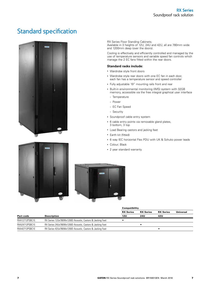### Standard specification



RX Series Floor Standing Cabinets; Available in 3 heights of 12U, 24U and 42U, all are 780mm wide and 1200mm deep (over the doors).

Cooling is effectively and efficiently controlled and managed by the use of temperature sensors and variable speed fan controls which manage the 2 EC fans fitted within the rear doors.

#### **Standard racks include:**

- Wardrobe style front doors
- Wardrobe style rear doors with one EC fan in each door, each fan has a temperature sensor and speed controller
- Fully adjustable 19" mounting rails front and rear
- Built-in environmental monitoring (IMS) system with 32GB memory, accessible via the free integral graphical user interface
	- Temperature
	- Power
	- EC Fan Speed
	- Security
- Soundproof cable entry system
- 6 cable entry points via removable gland plates, 3 bottom, 3 top
- Load Bearing castors and jacking feet
- Earth kit (fitted)
- 6 way IEC horizontal Flex PDU with UK & Schuko power leads
- Colour; Black
- 2 year standard warranty



#### **Compatibility**

|                |                                                           | <b>RX Series</b> | <b>RX Series</b> | <b>RX Series</b> | <b>Universal</b> |
|----------------|-----------------------------------------------------------|------------------|------------------|------------------|------------------|
| Part code      | <b>Description</b>                                        | 12U              | 24U              | 42U              |                  |
| RXA12712PSBC1E | RX Series 12Ux780Wx1200D Acoustic, Castors & Jacking Feet |                  |                  |                  |                  |
| RXA24712PSBC1E | RX Series 24Ux780Wx1200D Acoustic, Castors & Jacking Feet |                  |                  |                  |                  |
| RXA42712PSBC1E | RX Series 42Ux780Wx1200D Acoustic, Castors & Jacking Feet |                  |                  |                  |                  |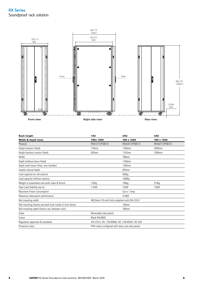

| <b>Rack height</b>                                          | <b>12U</b>            | <b>24U</b>                                         | 42U            |
|-------------------------------------------------------------|-----------------------|----------------------------------------------------|----------------|
| Width & depth (mm)                                          | 780x 1200             | 780 x 1200                                         | 780 x 1200     |
| Physical                                                    | RXA12712PSBC1E        | RXA24712PSBC1E                                     | RXA42712PSBC1E |
| Height (castors fitted)                                     | 716mm                 | 1250mm                                             | 2050mm         |
| Height (without castors fitted)                             | 620mm                 | 1152mm                                             | 1954mm         |
| Width                                                       |                       | 780mm                                              |                |
| Depth (without doors fitted)                                |                       | 1100mm                                             |                |
| Depth (with doors fitted, over handles)                     |                       | 1265mm                                             |                |
| Usable internal depth                                       |                       | 825mm                                              |                |
| Load capacity (on std castors)                              |                       | 500 <sub>kg</sub>                                  |                |
| Load capacity (without castors)                             |                       | 1000kg                                             |                |
| Weight of assembled rack (with sides & Doors)               | 133kg                 | 194kg                                              | 313kg          |
| Heat Load Stability (up to)                                 | $7.2$ kW              | 12 <sub>k</sub> W                                  | 12kW           |
| Maximum Power Consumption                                   |                       | Up to 1 Amp                                        |                |
| Maximum attenuation performance                             |                       | 31dBA                                              |                |
| Rail mounting width                                         |                       | 482.6mm (19 inch) fully compliant with EIA-310-E   |                |
| Rail mounting (factory-set back from inside of front doors) |                       | <b>100mm</b>                                       |                |
| Rail mounting depth (factory set, between rails)            |                       | 700mm                                              |                |
| Sides                                                       | Removable side panels |                                                    |                |
| Colour                                                      | Black RAL9005         |                                                    |                |
| Regulatory approvals & standards                            |                       | EIA-310-E, IEC / EN 60950, IEC / EN 60297, IEC 529 |                |
| Protection class                                            |                       | IP44-when configured with doors and side panels    |                |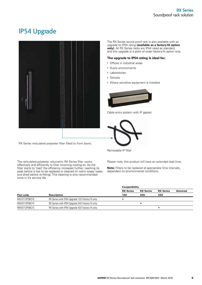### IP54 Upgrade



The RX Series sound proof rack is also available with an upgrade to IP54 rating **(available as a factory-fit option only)**. All RX Series racks are IP44 rated as standard, and this upgrade is a point of order factory-fit option only.

#### **The upgrade to IP54 rating is ideal for;**

- Offices in industrial areas
- Dusty environments
- Laboratories
- Schools
- Where sensitive equipment is installed



Cable entry system with IP gasket



Removable IP filter

The reticulated polyester volumetric RX Series filter works effectively and efficiently to filter incoming cooling air. As the filter starts to 'load' the efficiency increases further, reaching its peak before it has to be replaced or cleaned (in warm soapy water, and dried before re-fitting). This cleaning is only recommended

RX Series reticulated polyester filter fitted to front doors.

once in it's service life.

Please note; this product will have an extended lead time.

**Note:** Filters to be replaced at appropriate time intervals, dependant on environmental conditions.

|                | Compatibility                                    |                  |                  |                  |           |
|----------------|--------------------------------------------------|------------------|------------------|------------------|-----------|
|                |                                                  | <b>RX Series</b> | <b>RX Series</b> | <b>RX Series</b> | Universal |
| Part code      | <b>Description</b>                               | 12U              | <b>24U</b>       | 42U              |           |
| RXI12712PSBC1E | RX Series with IP54 Upgrade 12U Factory fit only |                  |                  |                  |           |
| RXI24712PSBC1E | RX Series with IP54 Upgrade 24U Factory fit only |                  |                  |                  |           |
| RXI42712PSBC1E | RX Series with IP54 Upgrade 42U Factory fit only |                  |                  |                  |           |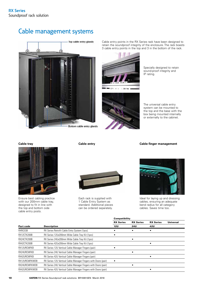### Cable management systems



Cable entry points in the RX Series rack have been designed to retain the soundproof integrity of the enclosure. The rack boasts 3 cable entry points in the top and 3 in the bottom of the rack.

IP rating.





The universal cable entry system can be mounted to the top and the base with the box being mounted internally or externally to the cabinet.

Specially designed to retain sound-proof integrity and

#### **Cable tray Cable entry Cable finger management**



Ensure best cabling practice with our 200mm cable tray, designed to fit in line with the top and bottom side cable entry posts.



Each rack is supplied with 1 Cable Entry System as standard. Additional pieces can be ordered separately.

Ideal for laying up and dressing cables, ensuring an adequate bend radius for all category cables. Saves time too.

|                |                                                                | Compatibility    |                  |                  |                  |
|----------------|----------------------------------------------------------------|------------------|------------------|------------------|------------------|
|                |                                                                | <b>RX Series</b> | <b>RX Series</b> | <b>RX Series</b> | <b>Universal</b> |
| Part code      | <b>Description</b>                                             | 12U              | 24U              | 42U              |                  |
| <b>RXRCESB</b> | RX Series Retrofit Cable Entry System (1pcs).                  |                  |                  |                  |                  |
| RX12CTK200B    | RX Series 12Ux200mm Wide Cable Tray Kit (1pcs)                 |                  |                  |                  |                  |
| RX24CTK200B    | RX Series 24Ux200mm Wide Cable Tray Kit (1pcs)                 |                  |                  |                  |                  |
| RX42CTK200B    | RX Series 42Ux200mm Wide Cable Tray Kit (1pcs)                 |                  |                  |                  |                  |
| RX12URCMFKB    | RX Series 12U Vertical Cable Manager Fingers (pair)            |                  |                  |                  |                  |
| RX24URCMFKB    | RX Series 24U Vertical Cable Manager Fingers (pair)            |                  |                  |                  |                  |
| RX42URCMFKB    | RX Series 42U Vertical Cable Manager Fingers (pair)            |                  |                  |                  |                  |
| RX12URCMFKWDB  | RX Series 12U Vertical Cable Manager Fingers with Doors (pair) |                  |                  |                  |                  |
| RX24URCMFKWDB  | RX Series 24U Vertical Cable Manager Fingers with Doors (pair) |                  |                  |                  |                  |
| RX42URCMFKWDB  | RX Series 42U Vertical Cable Manager Fingers with Doors (pair) |                  |                  |                  |                  |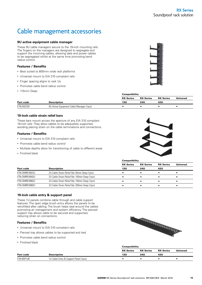## Cable management accessories

#### **9U active equipment cable manager**

These 9U cable managers secure to the 19-inch mounting rails. The fingers on the managers are designed to segregate and support the incoming cables, allowing data and power cables to be segregated whilst at the same time promoting bend radius control.

#### **Features / Benefits**

- Best suited to 800mm wide rack platforms
- Universal mount to EIA 310 compliant rails
- Finger spacing aligns to rack Us
- Promotes cable bend radius control
- 115mm Deep



|           |                                          | <b>Compatibility</b> |                  |                  |           |  |
|-----------|------------------------------------------|----------------------|------------------|------------------|-----------|--|
|           |                                          | <b>RX Series</b>     | <b>RX Series</b> | <b>RX Series</b> | Universal |  |
| Part code | <b>Description</b>                       | 12U                  | 24U              | 42U              |           |  |
| ETN-9UECM | 9U Active Equipment Cable Manager (1pcs) |                      |                  |                  |           |  |

#### **19-inch cable strain relief bars**

These bars mount across the aperture of any EIA 310 compliant 19-inch rails. They allow cables to be adequately supported, avoiding placing strain on the cable terminations and connections.

#### **Features / Benefits:**

- Universal mount to EIA 310 compliant rails
- Promotes cable bend radius control
- Multiple depths allow for transitioning of cable to different areas
- Finished black



|--|

|                |                                              | <b>RX Series</b> | <b>RX Series</b> | <b>RX Series</b> | Universal |
|----------------|----------------------------------------------|------------------|------------------|------------------|-----------|
| Part code      | <b>Description</b>                           | 12U              | <b>24U</b>       | 42U              |           |
| ETN-CMRB19022U | 2U Cable Strain Relief Bar 50mm Deep (1pcs)  |                  |                  |                  |           |
| ETN-CMRB19042U | 2U Cable Strain Relief Bar 100mm Deep (1pcs) |                  |                  |                  |           |
| ETN-CMRB19062U | 2U Cable Strain Relief Bar 150mm Deep (1pcs) |                  |                  |                  |           |
| ETN-CMRB19082U | 2U Cable Strain Relief Bar 200mm Deep (1pcs) |                  |                  |                  |           |

#### **19-inch cable entry & support panel**

These 1U panels combine cable through and cable support features. The open edge brush entry allows the panels to be retrofitted after cabling. The brush helps seal around the cables promoting air management and system efficiency. The pierced support tray allows cable to be secured and supported, reducing strain on connections.

#### **Features / Benefits:**

- Universal mount to EIA 310 compliant rails
- Pierced tray allows cables to be supported and tied
- Promotes cable bend radius control
- Finished black



|            |                                       | <b>Compatibility</b> |                  |                  |                  |  |
|------------|---------------------------------------|----------------------|------------------|------------------|------------------|--|
|            |                                       | <b>RX Series</b>     | <b>RX Series</b> | <b>RX Series</b> | <b>Universal</b> |  |
| Part code  | <b>Description</b>                    | 12U                  | 24U              | 42U              |                  |  |
| ETN-BSP1UB | 1U Cable Entry & Support Panel (1pcs) |                      |                  |                  |                  |  |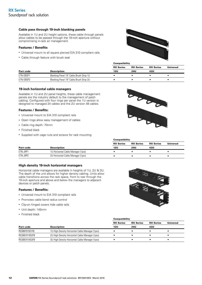#### **Cable pass through 19-inch blanking panels**

Available in 1U and 2U height options, these cable through panels allow cables to be passed through the 19-inch aperture without compromising in-rack air management.

#### **Features / Benefits**

- Universal mount to all square pierced EIA 310 compliant rails
- Cable through feature with brush seal



|           |                                         | --------------   |                  |                  |           |
|-----------|-----------------------------------------|------------------|------------------|------------------|-----------|
|           |                                         | <b>RX Series</b> | <b>RX Series</b> | <b>RX Series</b> | Universal |
| Part code | Description                             | 12U              | 24U              | 42U              |           |
| ETN-OBSP1 | Blanking Panel 19" Cable Brush Strip 1U |                  |                  |                  |           |
| ETN-OBSP2 | Blanking Panel 19" Cable Brush Strip 2U |                  |                  |                  |           |
|           |                                         |                  |                  |                  |           |

#### **19-inch horizontal cable managers**

Available in 1U and 2U panel heights, these cable management panels are the industry default to the management of patch cabling. Configured with four rings per panel the 1U version is designed to managed 24 cables and the 2U version 48 cables.

#### **Features / Benefits:**

- Universal mount to EIA 310 compliant rails
- Open rings allow easy management of cables
- Cable ring depth: 70mm
- Finished black
- Supplied with cage nuts and screws for rack mounting



|           |                                    | --------------   |                  |                  |                  |
|-----------|------------------------------------|------------------|------------------|------------------|------------------|
|           |                                    | <b>RX Series</b> | <b>RX Series</b> | <b>RX Series</b> | <b>Universal</b> |
| Part code | <b>Description</b>                 | 12U              | <b>24U</b>       | 42U              |                  |
| ETN-JRP1  | 1U Horizontal Cable Manager (1pcs) |                  |                  |                  |                  |
| ETN-JRP2  | 2U Horizontal Cable Manager (1pcs) |                  |                  |                  |                  |

Compatibility

#### **High density 19-inch horizontal managers**

Horizontal cable managers are available in heights of 1U, 2U & 3U. The depth of the unit allows for higher density cabling. Units allow cable transitions across the rack space, front to rear through the 19-inch aperture and above and below the managers to adjacent devices or patch panels.

#### **Features / Benefits:**

- Universal mount to EIA 310 compliant rails
- Promotes cable bend radius control
- Clip-on hinged covers hide cable tails
- Unit depth: 145mm
- Finished black



|               |                                                 | <b>Compatibility</b> |                  |                  |           |
|---------------|-------------------------------------------------|----------------------|------------------|------------------|-----------|
|               |                                                 | <b>RX Series</b>     | <b>RX Series</b> | <b>RX Series</b> | Universal |
| Part code     | <b>Description</b>                              | 12U                  | 24U              | 42U              |           |
| RESB87019S1FB | 10 High Density Horizontal Cable Manager (1pcs) |                      |                  |                  |           |
| RESB87019S2FB | 2U High Density Horizontal Cable Manager (1pcs) |                      |                  |                  |           |
| RESB87019S3FB | 3U High Density Horizontal Cable Manager (1pcs) |                      |                  |                  |           |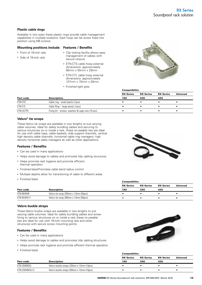#### **Plastic cable rings**

Available in two sizes these plastic rings provide cable management capabilities in multiple locations. Each hoop can be screw fixed into position using M6 screws.

#### **Mounting positions include: Features / Benefits**

- Front of 19-inch rails
- Side of 19-inch rails
- Clip locking facility allows easy management of cables with secure closure
- ETN-CTS cable hoop external dimensions: approximately 90mm x 55mm x 29mm
- ETN-CTL cable hoop external dimensions: approximately 127mm x 70mm x 29mm
- Finished light grey



|                  |                                                   | <b>RX Series</b> | <b>RX Series</b> | <b>RX Series</b> | Universal |  |
|------------------|---------------------------------------------------|------------------|------------------|------------------|-----------|--|
| Part code        | <b>Description</b>                                | 12U              | <b>24U</b>       | 42U              |           |  |
| ETN-CTS          | Cable ring - small plastic (1pcs)                 |                  |                  |                  |           |  |
| ETN-CTL          | Cable Ring – large plastic (1pcs)                 |                  |                  |                  |           |  |
| <b>ETN-UCTFK</b> | Fixing kit - screws, washers & cage nuts (10 pcs) |                  |                  |                  |           |  |
|                  |                                                   |                  |                  |                  |           |  |

**Compatibility** 

#### **Velcro® tie wraps**

These Velcro tie wraps are available in two lengths to suit varying cable volumes. Ideal for safely bundling cables and securing to various structures on or inside a rack, these re-useable ties are ideal for use with cable trays, cable baskets, side support channels, vertical high density cable channels, horizontal cable ring managers, high density horizontal cable managers as well as other applications.

#### **Features / Benefits:**

- Can be used in many applications
- Helps avoid damage to cables and promotes tidy cabling structures
- Helps promote rack hygiene and promote efficient thermal operation
- Finished blackPromotes cable bend radius control
- Multiple depths allow for transitioning of cable to different areas
- Finished black.



|             |                                      | <b>Compatibility</b> |                  |                  |           |  |  |
|-------------|--------------------------------------|----------------------|------------------|------------------|-----------|--|--|
|             |                                      | <b>RX Series</b>     | <b>RX Series</b> | <b>RX Series</b> | Universal |  |  |
| Part code   | <b>Description</b>                   | 12U                  | 24U              | 42U              |           |  |  |
| ETN-BX45V8  | Velcro tie wrap 200mm x 13mm (50pcs) |                      |                  |                  |           |  |  |
| ETN-BX45V11 | Velcro tie wrap 280mm x 13mm (50pcs) |                      |                  |                  |           |  |  |

#### **Velcro buckle straps**

These Velcro buckle wraps are available in two lengths to suit varying cable volumes. Ideal for safely bundling cables and screw fixing to various structures on or inside a rack these re-useable ties are ideal for use with 19-inch mounting rails and other structures with secure screw mounting points.

#### **Features / Benefits:**

- Can be used in many applications
- Helps avoid damage to cables and promotes tidy cabling structures
- Helps promote rack hygiene and promote efficient thermal operation
- Finished black



**Compatibility** 

|               |                                           | <b>RX Series</b> | <b>RX Series</b> | <b>RX Series</b> | Universal |
|---------------|-------------------------------------------|------------------|------------------|------------------|-----------|
| Part code     | <b>Description</b>                        | <b>12U</b>       | 24U              | 42U              |           |
| ETN-CMVBCKL   | Velcro buckle straps 230mm x 13mm (10pcs) |                  |                  |                  |           |
| ETN-CMVBCKL12 | Velcro buckle straps 300mm x 13mm (10pcs) |                  |                  |                  |           |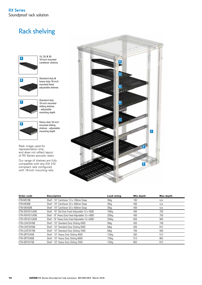### Rack shelving



1U, 2U & 3U 19-inch mounted cantilever shelves



Standard duty & heavy duty 19-inch mounted fixed adjustable shelves



Standard duty 19-inch mounted sliding shelves - adjustable mounting depth



Heavy duty 19-inch mounted sliding shelves - adjustable mounting depth

Rack image used for representation only, and does not reflect layout of RX Series acoustic racks.

Our range of shelves are fully compatible with any EIA 310 compliant rack configured with 19-inch mounting rails.



| Order code     | <b>Description</b>                                | <b>Load rating</b> | Min depth | <b>Max depth</b> |
|----------------|---------------------------------------------------|--------------------|-----------|------------------|
| ETN-MS19B      | Shelf - 19" Cantilever 1U x 190mm Deep            | 35kg               | 190       | n/a              |
| ETN-MS40B      | Shelf - 19" Cantilever 2U x 400mm Deep            | 35 <sub>kg</sub>   | 400       | n/a              |
| ETN-MS403B     | Shelf - 19" Cantilever 3U x 400mm Deep            | 35 <sub>kg</sub>   | 400       | n/a              |
| ETN-SDFAS1U45B | Shelf - 19" Std Duty Fixed Adjustable 1U x 450D   | 100 <sub>kq</sub>  | 450       | 750              |
| ETN-HDFAS1U45B | Shelf - 19" Heavy Duty Fixed Adjustable 1U x 450D | 250 <sub>kq</sub>  | 450       | 750              |
| ETN-HDFAS1U65B | Shelf - 19" Heavy Duty Fixed Adjustable 1U x 650D | 250kg              | 650       | 950              |
| ETN-LDATSV45B  | Shelf - 19" Standard Duty Sliding 450D            | 50 <sub>kg</sub>   | 455       | 749              |
| ETN-LDATSV55B  | Shelf - 19" Standard Duty Sliding 550D            | 50kg               | 555       | 812              |
| ETN-LDATSV70B  | Shelf - 19" Standard Duty Sliding 700D            | 50kg               | 705       | 940              |
| ETN-QRTSV45B   | Shelf - 19" Heavy Duty Sliding 450D               | $125$ kg           | 363       | 513              |
| ETN-QRTSV60B   | Shelf - 19" Heavy Duty Sliding 600D               | $125$ kg           | 513       | 663              |
| ETN-ORTSV75B   | Shelf - 19" Heavy Duty Sliding 750D               | 125kg              | 663       | 813              |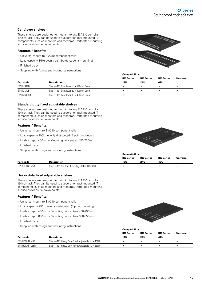#### **Cantilever shelves**

These shelves are designed to mount into any EIA310 compliant 19-inch rack. They can be used to support non rack mounted IT components such as monitors and modems. Perforated mounting surface provides tie down points.

#### **Features / Benefits**

- Universal mount to EIA310 component rails
- Load capacity 35kg evenly distributed (2 point mounting)
- Finished black
- Supplied with fixings and mounting instructions



|            |                                      | <b>RX Series</b> | <b>RX Series</b> | <b>RX Series</b> | Universal |
|------------|--------------------------------------|------------------|------------------|------------------|-----------|
| Part code  | <b>Description</b>                   | 12U              | <b>24U</b>       | 42U              |           |
| ETN-MS19B  | Shelf-19" Cantilever 1U x 190mm Deep |                  |                  |                  |           |
| ETN-MS40B  | Shelf-19" Cantilever 2U x 400mm Deep |                  |                  |                  |           |
| ETN-MS403B | Shelf-19" Cantilever 3U x 400mm Deep |                  |                  |                  |           |

**Compatibility** 

#### **Standard duty fixed adjustable shelves**

These shelves are designed to mount into any EIA310 compliant 19-inch rack. They can be used to support non rack mounted IT components such as monitors and modems. Perforated mounting surface provides tie down points.

#### **Features / Benefits:**

- Universal mount to EIA310 component rails
- Load capacity 100kg evenly distributed (4 point mounting)
- Usable depth 450mm– Mounting rail centres 450-750mm
- Finished black
- Supplied with fixings and mounting instructions



|                |                                               | <b>Compatibility</b> |                  |                  |           |  |
|----------------|-----------------------------------------------|----------------------|------------------|------------------|-----------|--|
|                |                                               | <b>RX Series</b>     | <b>RX Series</b> | <b>RX Series</b> | Universal |  |
| Part code      | <b>Description</b>                            | 12U                  | 24U              | 42U              |           |  |
| ETN-SDFAS1U45B | Shelf-19" Std Duty fixed Adjustable 1U x 450D |                      |                  |                  |           |  |

#### **Heavy duty fixed adjustable shelves**

These shelves are designed to mount into any EIA310 compliant 19-inch rack. They can be used to support non rack mounted IT components such as monitors and modems. Perforated mounting surface provides tie down points.

#### **Features / Benefits:**

- Universal mount to EIA310 component rails
- Load capacity 250kg evenly distributed (4 point mounting)
- Usable depth 450mm Mounting rail centres 450-750mm
- Usable depth 650mm Mounting rail centres 650-950mm
- Finished black
- Supplied with fixings and mounting instructions



|                |                                                 | <b>RX Series</b> | <b>RX Series</b> | <b>RX Series</b> | Universal |
|----------------|-------------------------------------------------|------------------|------------------|------------------|-----------|
| Part code      | <b>Description</b>                              | 12U              | 24U              | 42U              |           |
| ETN-HDFAS1U45B | Shelf—19" Heavy Duty fixed Adjustable 1U x 450D |                  |                  |                  |           |
| ETN-HDFAS1U65B | Shelf—19" Heavy Duty fixed Adjustable 1U x 650D |                  |                  |                  |           |

**Compatibility**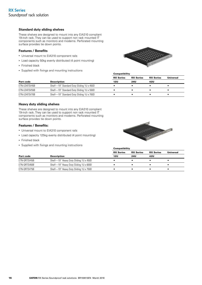#### **Standard duty sliding shelves**

These shelves are designed to mount into any EIA310 compliant 19-inch rack. They can be used to support non rack mounted IT components such as monitors and modems. Perforated mounting surface provides tie down points.

#### **Features / Benefits**

- Universal mount to EIA310 component rails
- Load capacity 50kg evenly distributed (4 point mounting)
- Finished black
- Supplied with fixings and mounting instructions



|               |                                           | <b>RX Series</b> | <b>RX Series</b> | <b>RX Series</b> | Universal |
|---------------|-------------------------------------------|------------------|------------------|------------------|-----------|
| Part code     | <b>Description</b>                        | 12U              | 24U              | 42U              |           |
| ETN-LDATSV45B | Shelf-19" Standard Duty Sliding 1U x 450D |                  |                  |                  |           |
| ETN-LDATSV55B | Shelf-19" Standard Duty Sliding 1U x 550D |                  |                  |                  |           |
| ETN-LDATSV70B | Shelf-19" Standard Duty Sliding 1U x 700D |                  |                  |                  |           |

**Compatibility** 

**Compatibility** 

#### **Heavy duty sliding shelves**

These shelves are designed to mount into any EIA310 compliant 19-inch rack. They can be used to support non rack mounted IT components such as monitors and modems. Perforated mounting surface provides tie down points.

#### **Features / Benefits:**

- Universal mount to EIA310 component rails
- Load capacity 125kg evenly distributed (4 point mounting)
- Finished black
- Supplied with fixings and mounting instructions



|              |                                        | <b>RX Series</b> | <b>RX Series</b> | <b>RX Series</b> | <b>Universal</b> |
|--------------|----------------------------------------|------------------|------------------|------------------|------------------|
|              |                                        |                  |                  |                  |                  |
| Part code    | <b>Description</b>                     | 12U              | 24U              | 42U              |                  |
| ETN-QRTSV45B | Shelf-19" Heavy Duty Sliding 1U x 450D |                  |                  |                  |                  |
| ETN-QRTSV60B | Shelf-19" Heavy Duty Sliding 1U x 600D |                  |                  |                  |                  |
| ETN-QRTSV75B | Shelf-19" Heavy Duty Sliding 1U x 750D |                  |                  |                  |                  |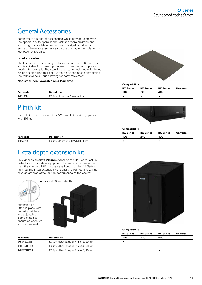### General Accessories

Eaton offers a range of accessories which provide users with the opportunity to optimise the rack and room environment according to installation demands and budget constraints. Some of these accessories can be used on other rack platforms (denoted 'Universal').

#### **Load spreader**

The load spreader aids weight dispersion of the RX Series rack and is suitable for spreading the load on wooden or chipboard flooring for example. The steel load spreader includes relief holes which enable fixing to a floor without any bolt heads obstructing the rack's wheels, thus allowing for easy movement.

#### **Non-stock item, available on a lead-time.**



|           |                                    | _________        |                  |                  |           |
|-----------|------------------------------------|------------------|------------------|------------------|-----------|
|           |                                    | <b>RX Series</b> | <b>RX Series</b> | <b>RX Series</b> | Universal |
| Part code | <b>Description</b>                 | 12U              | 24U              | 42U              |           |
| RXL712SB  | RX Series Floor Load Spreader 1pcs |                  |                  |                  |           |

### Plinth kit

Each plinth kit comprises of 4x 100mm plinth (skirting) panels with fixings.



|           |                                       | <b>RX Series</b> | <b>RX Series</b> | <b>RX Series</b> | Universal |
|-----------|---------------------------------------|------------------|------------------|------------------|-----------|
| Part code | <b>Description</b>                    | 12L              | 24U              | 42U              |           |
| RXPA712B  | RX Series Plinth Kit 780Wx1200D 1 pcs |                  |                  |                  |           |

**Compatibility** 

### Extra depth extension kit

This kit adds an **extra 200mm depth** to the RX Series rack in order to accommodate equipment that requires a deeper rack than the standard 825mm usable rail depth of the RX Series. This rear-mounted extension kit is easily retrofitted and will not have an adverse effect on the performance of the cabinet.





|              |                                          | <b>RX Series</b> | <b>RX Series</b> | <b>RX Series</b> |
|--------------|------------------------------------------|------------------|------------------|------------------|
| Part code    | <b>Description</b>                       | 12U              | 24U              | 42U              |
| RXREF12U200B | RX Series Rear Extension Frame 12U 200mm |                  |                  |                  |

| RXREF12U200B | RX Series Rear Extension Frame 12U 200mm        |  |
|--------------|-------------------------------------------------|--|
| RXREF24U200B | <b>RX Series Rear Extension Frame 24U 200mm</b> |  |
| RXREF42U200B | <b>RX Series Rear Extension Frame 42U 200mm</b> |  |

**Compatibility** 

**Universal**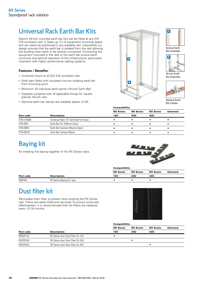### Universal Rack Earth Bar Kits

Eaton's 19-inch mounted earth bar kits can be fitted at any EIA 310 compliant rack. It takes up 1U of equipment mounting space and can easily be positioned in any available slot. Importantly our design ensures that the earth bar is isolated from the rack allowing the building clean earth to be directly connected. Connecting the equipment mounted in the rack to the earth bar ensure earth continuity and optimal operation of the infrastructure, particularly important with higher performance cabling systems.

#### **Features / Benefits:**

- Universal mount to all EIA 310 compliant rails
- Earth bars fitted with insulated mounts isolating earth bar from mounting point
- Minimum 25 individual earth points (19-inch Earth Bar)
- Supplied complete with all applicable fixings for square pierced 19-inch rails
- Optional earth bar clamps are available (packs of 20)







19-Inch Earth Bar Assembly



Optional Earth Bar Clamps

**Compatibility** 

| Part code  |                                         | <b>RX Series</b> | <b>RX Series</b> | <b>RX Series</b> | <b>Universal</b> |
|------------|-----------------------------------------|------------------|------------------|------------------|------------------|
|            | <b>Description</b>                      | 12U              | 24U              | 42U              |                  |
| ETN-U19EBK | Universal Rack 19" Earth Bar Kit (1pcs) |                  |                  |                  |                  |
| ETN-EBK1   | Earth Bar Kit 1000mm (1pcs)             |                  |                  |                  |                  |
| ETN-EBIM   | Earth Bar Isolation Mounts (2pcs)       |                  |                  |                  |                  |
| ETN-EBL20  | Earth Bar Clamps (20pcs)                |                  |                  |                  |                  |

### Baying kit

Kit enabling the baying together of the RX Series racks.



|               |                           | Compatibility    |                  |                  |                  |
|---------------|---------------------------|------------------|------------------|------------------|------------------|
|               |                           | <b>RX Series</b> | <b>RX Series</b> | <b>RX Series</b> | <b>Universal</b> |
| Part code     | <b>Description</b>        | 12U              | 24U              | 42U              |                  |
| <b>RXBTKB</b> | RX Series Baying Kit 1pcs |                  |                  |                  |                  |

### Dust filter kit

Removable foam filter to prevent dust entering the RX Series rack. Filters are easily fitted and serviced. To ensure continued effectiveness, it is recommended that the filters are replaced every 12-18 months.



| Part code |                                    | Compatibility    |                  |                         |                  |
|-----------|------------------------------------|------------------|------------------|-------------------------|------------------|
|           |                                    | <b>RX Series</b> | <b>RX Series</b> | <b>RX Series</b><br>42U | <b>Universal</b> |
|           | <b>Description</b>                 | 12U              | <b>24U</b>       |                         |                  |
| RXDDF12U  | RX Series door Dust Filter Kit 12U |                  |                  |                         |                  |
| RXDDF24U  | RX Series door Dust Filter Kit 24U |                  |                  |                         |                  |
| RXDDF42U  | RX Series door Dust Filter Kit 42U |                  |                  |                         |                  |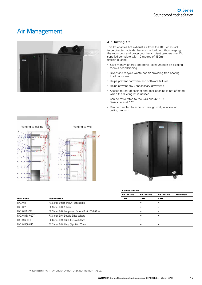### Air Management



#### **Air Ducting Kit**

This kit enables hot exhaust air from the RX Series rack to be directed outside the room or building, thus keeping the room cool and protecting the ambient temperature. Kit supplied complete with 10 metres of 150mm flexible ducting.

- Save money, energy and power consumption on existing room air conditioning
- Divert and recycle waste hot air providing free heating to other rooms
- Helps prevent hardware and software failures
- Helps prevent any unnecessary downtime
- Access to rear of cabinet and door opening is not affected when the ducting kit is utilised
- Can be retro-fitted to the 24U and 42U RX Series cabinet \*\*\*
- Can be directed to exhaust through wall, window or ceiling plenum





| Compatibility |  |
|---------------|--|
|---------------|--|

|               |                                                | <b>RX Series</b> | <b>RX Series</b> | <b>RX Series</b> | Universal |
|---------------|------------------------------------------------|------------------|------------------|------------------|-----------|
| Part code     | <b>Description</b>                             | 12U              | <b>24U</b>       | 42U              |           |
| RXDAXB        | RX Series Directional Air Exhaust kit          |                  |                  |                  |           |
| RXDAXY        | RX Series DAX Y Piece                          |                  |                  |                  |           |
| RXDAXLDUCTF   | RX Series DAX Long round Female Duct 150x600mm |                  |                  |                  |           |
| RXDAXDSSPIGOT | RX Series DAX Double Sided spigots             |                  |                  |                  |           |
| RXDAXSSOUT    | RX Series DAX SS Outlets with flaps            |                  |                  |                  |           |
| RXDAXHC60170  | RX Series DAX Hose Clips 60-170mm              |                  |                  |                  |           |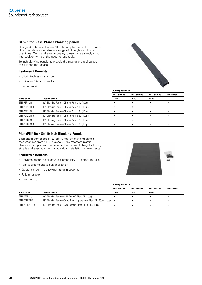#### **Clip-in tool-less 19-inch blanking panels**

Designed to be used in any 19-inch compliant rack, these simple clip-in panels are available in a range of U heights and pack quantities. Quick and easy to deploy, these panels simply snap into position without the need for any tools.

19-inch blanking panels help avoid the mixing and recirculation of air in the rack space.

#### **Features / Benefits**

- Clip-in tool-less installation
- Universal 19-inch compliant
- Eaton branded



|              |                                                | <b>RX Series</b> | <b>RX Series</b> | <b>RX Series</b> | Universal |
|--------------|------------------------------------------------|------------------|------------------|------------------|-----------|
| Part code    | <b>Description</b>                             | 12U              | <b>24U</b>       | 42U              |           |
| ETN-PBP1U10  | 19" Blanking Panel-Clip-on Plastic 1U (10pcs)  |                  |                  |                  |           |
| ETN-PBP1U100 | 19" Blanking Panel—Clip-on Plastic 1U (100pcs) |                  |                  |                  |           |
| ETN-PBP2U10  | 19" Blanking Panel-Clip-on Plastic 2U (10pcs)  |                  |                  |                  |           |
| ETN-PBP2U100 | 19" Blanking Panel—Clip-on Plastic 2U (100pcs) |                  |                  |                  |           |
| ETN-PBP8U10  | 19" Blanking Panel—Clip-on Plastic 8U (10pcs)  |                  |                  |                  |           |
| ETN-PBP8U100 | 19" Blanking Panel—Clip-on Plastic 8U (100pcs) |                  |                  |                  |           |
|              |                                                |                  |                  |                  |           |

#### **PlenaFill® Tear Off 19-inch Blanking Panels**

Each sheet comprises of 27 off 1U tear-off blanking panels manufactured from UL-VO, class 94 fire retardant plastic. Users can simply tear the panel to the desired U height allowing simple and easy adaption to individual installation requirements.

#### **Features / Benefits:**

- Universal mount to all square pierced EIA 310 compliant rails
- Tear to unit height to suit application
- Quick fit mounting allowing fitting in seconds
- Fully re-usable
- Low weight



|               |                                                                    | <b>RX Series</b> | <b>RX Series</b> | <b>RX Series</b> | Universal |
|---------------|--------------------------------------------------------------------|------------------|------------------|------------------|-----------|
| Part code     | <b>Description</b>                                                 | 12U              | 24U              | 42U              |           |
| ETN-PFBP27U1  | 19" Blanking Panel—27U Tear Off PlenaFill (1pcs)                   |                  |                  |                  |           |
| ETN-CBLPF-BR  | 19" Blanking Panel—Snap Rivets Square Hole PlenaFill (50pcs)(1pcs) |                  |                  |                  |           |
| ETN-PFBP27U10 | 19" Blanking Panel—27U Tear Off PlenaFill Panels (10pcs)           |                  |                  |                  |           |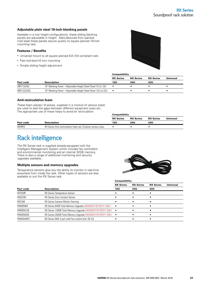#### **Adjustable plain steel 19-inch blanking panels**

Available in a two height configurations, these sliding blanking panels are adjustable in height . Manufactured from painted mild steel these panels secure quickly to square pierced 19-inch mounting rails.

#### **Features / Benefits**

- Universal mount to all square pierced EIA 310 compliant rails
- Fast tool-less1/4 turn mounting
- Simple sliding height adjustment



|                                                             | <b>RX Series</b> | <b>RX Series</b>  | <b>RX Series</b> | Universal |
|-------------------------------------------------------------|------------------|-------------------|------------------|-----------|
| <b>Description</b>                                          | 12U              | <b>24U</b><br>42U |                  |           |
| 19" Blanking Panel—Adjustable Height Steel Panel 7U to 12U  |                  |                   |                  |           |
| 19" Blanking Panel—Adjustable Height Steel Panel 12U to 22U |                  |                   |                  |           |
|                                                             |                  |                   | Compatibility    |           |

#### **Anti-recirculation foam**

These foam pieces ( 8 pieces, supplied in a mixture of various sizes) are used to seal the gaps between different equipment sizes etc. The appropriate use of these helps to avoid air recirculation.

|               |                                                                | <b>Compatibility</b> |                  |                  |           |  |
|---------------|----------------------------------------------------------------|----------------------|------------------|------------------|-----------|--|
|               |                                                                | <b>RX Series</b>     | <b>RX Series</b> | <b>RX Series</b> | Universal |  |
| Part code     | <b>Description</b>                                             | 12U                  | <b>24U</b>       | 42U              |           |  |
| <b>RXARFS</b> | RX Series Anti-recirculation foam set, 8 pieces various sizes. |                      |                  |                  |           |  |

### Rack intelligence

The RX Series rack is supplied already-equipped with the Intelligent Management System which includes fan controllers and environmental monitoring and an internal 32GB memory. There is also a range of additional monitoring and security upgrades available;

#### **Multiple sensors and memory upgrades**

Temperature sensors give you the ability to monitor in real-time anywhere from inside the rack. Other types of sensors are also available to suit the RX Series rack.



|               |                                                                       | Compatibility    |                  |                  |                  |
|---------------|-----------------------------------------------------------------------|------------------|------------------|------------------|------------------|
|               |                                                                       | <b>RX Series</b> | <b>RX Series</b> | <b>RX Series</b> | <b>Universal</b> |
| Part code     | <b>Description</b>                                                    | 12U              | <b>24U</b>       | 42U              |                  |
| <b>RXTEMP</b> | RX Series Temperature Sensor                                          |                  |                  |                  |                  |
| RXDCON        | <b>RX Series Door Contact Sensor</b>                                  |                  |                  |                  |                  |
| RXCAM         | <b>RX Series Camera Motion Sensing</b>                                |                  |                  |                  |                  |
| RXMEM64       | RX Series 64GB Total Memory Upgrade ENGINEER RETROFIT ONLY            | $\bullet$        |                  |                  |                  |
| RXMEM128      | RX Series 128GB Total Memory Upgrade ENGINEER RETROFIT ONLY           | $\bullet$        |                  |                  |                  |
| RXMEM256      | RX Series 256GB Total Memory Upgrade ENGINEER RETROFIT ONLY $\bullet$ |                  |                  |                  |                  |
| RXIMS4WFC     | RX Series IMS 4 port with Fan control (std. OE fit)                   |                  |                  |                  |                  |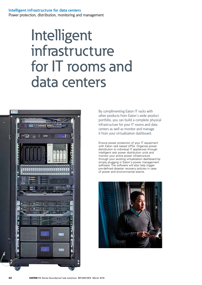### **Intelligent infrastructure for data centers**

Power protection, distribution, monitoring and management

# Intelligent infrastructure for IT rooms and data centers



By complimenting Eaton IT racks with other products from Eaton´s wide product portfolio, you can build a complete physical infrastructure for your IT rooms and data centers as well as monitor and manage it from your virtualization dashboard.

Ensure power protection of your IT equipment with Eaton rack based UPSs. Organize power distribution to individual IT appliances through intelligent rack power distribution units and monitor your entire power infrastructure through your existing virtualization dashboard by simply plugging in Eaton´s power management software. The software will also help trigger pre-defined disaster recovery policies in case of power and environmental events.

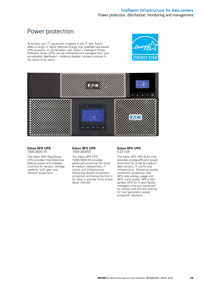### Power protection

To protect your IT equipment installed in the IT rack, Eaton offers a range of highly effective Energy Star qualified rack-based UPS solutions. In combination with Eaton´s Intelligent Power Software, Eaton UPSs can be monitored and managed from your virtualization dashboard – initiating disaster recovery policies in the event of an alarm.





#### **Eaton 5PX UPS**  1500-3000 VA

The Eaton 5PX Rack/Tower UPS provides line-interactive backup power and scalable runtimes for servers, storage systems, VoIP gear and network equipment.

#### **Eaton 9PX UPS**  1000-3000W

The Eaton 9PX UPS (1000-3000 W) provides advanced protection for small & medium datacenters, IT rooms and Infrastructure. Delivering double conversion protection and being the first in its class to provide Unity power factor (VA=W).

#### **Eaton 9PX UPS**  5-22 kVA

The Eaton 9PX UPS (5-22 kVA) provides energy-efficient power protection for small & medium data centers, IT rooms and infrastructure. Delivering double conversion protection with 40% less energy usage and 28% more power. 9PX is the perfect UPS for IT and Facility managers who are concerned by energy cost and are looking for next generation power protection solutions.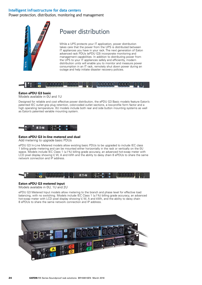### **Intelligent infrastructure for data centers**

Power protection, distribution, monitoring and management



### Power distribution

While a UPS protects your IT application, power distribution takes care that the power from the UPS is distributed between IT appliances you have in your rack. The next generation of Eaton advanced rack PDUs (ePDU G3) incorporate monitoring and management capabilities. In addition to distributing power from the UPS to your IT appliances safely and efficiently, modern distribution units will enable you to monitor and measure power consumption in an IT rack, remotely shut down power during an outage and help initiate disaster recovery policies.



#### **Eaton ePDU G3 basic**

Models available in 0U and 1U

Designed for reliable and cost effective power distribution, the ePDU G3 Basic models feature Eaton's patented IEC outlet grip plug retention, color-coded outlet sections, a low-profile form factor and a high operating temperature. 0U models include both rear and side button mounting systems as well as Eaton's patented variable mounting system.



#### **Eaton ePDU G3 in-line metered and dual**

Add metering to upgrade basic PDUs

ePDU G3 In-Line Metered models allow existing basic PDUs to be upgraded to include IEC class 1 billing grade metering and can be mounted either horizontally in the rack or vertically on the 0U space. Models include IEC Class 1  $(\pm 1\%)$  billing grade accuracy, an advanced hot-swap meter with LCD pixel display showing V, W, A and kWh and the ability to daisy chain 8 ePDUs to share the same network connection and IP address.



#### **Eaton ePDU G3 metered input**

Models available in 0U, 1U and 2U

ePDU G3 Metered Input models allow metering to the branch and phase level for effective load balancing, with no switching. Models include IEC Class 1 (±1%) billing grade accuracy, an advanced hot-swap meter with LCD pixel display showing V, W, A and kWh, and the ability to daisy chain 8 ePDUs to share the same network connection and IP address.

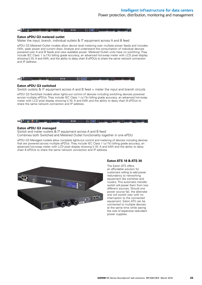

#### **Eaton ePDU G3 metered outlet**

Meter the input, branch, individual outlets & IT equipment across A and B feed

ePDU G3 Metered Outlet models allow device level metering over multiple power feeds and includes kWh, peak power and current draw. Analyze and understand the consumption of individual devices powered over A and B feeds and view available power. Metered Outlet units have no switching. They include IEC Class 1 (±1%) billing grade accuracy, an advanced hot-swap meter with LCD pixel display showing V, W, A and kWh, and the ability to daisy chain 8 ePDUs to share the same network connection and IP address.

#### UUDA FOO KEE **FIND OF CHANNEL** Booth BOD by Booth ROOM

#### **Eaton ePDU G3 switched**

Switch outlets & IT equipment across A and B feed + meter the input and branch circuits

ePDU G3 Switched models allow lights-out control of devices including switching devices powered across multiple ePDUs. They include IEC Class 1 (±1%) billing grade accuracy, an advanced hot-swap meter with LCD pixel display showing V, W, A and kWh and the ability to daisy chain 8 ePDUs to share the same network connection and IP address.

#### **The series of the contract of the series REALLY OUR DIVISION BUSINESS RAD EX-N**

#### **Eaton ePDU G3 managed**

Switch and meter outlets & IT equipment across A and B feed: Combines both Switched and Metered Outlet functionality together in one ePDU

ePDU G3 Managed models allow complete lights-out control and metering of devices including devices that are powered across multiple ePDUs. They include IEC Class 1  $(\pm 1\%)$  billing grade accuracy, an advanced hot-swap meter with LCD pixel display showing V, W, A and kWh and the ability to daisy chain 8 ePDUs to share the same network connection and IP address.



#### **Eaton ATS 16 & ATS 30**

The Eaton ATS offers an affordable solution for customers willing to add power redundancy to networking equipment like switches and routers. This automatic transfer switch will power them from two different sources. Should one power source fail, the alternate one will switch over with no interruption to the connected equipment. Eaton ATS can be connected to multiple devices at the same time while saving the cost of expensive redundant power supplies.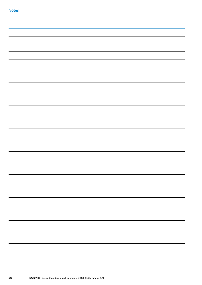|  | — |
|--|---|
|  |   |
|  |   |
|  | - |
|  |   |
|  |   |
|  |   |
|  |   |
|  |   |
|  |   |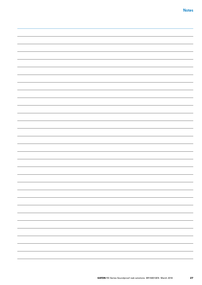| $\overline{\phantom{a}}$ |
|--------------------------|
|                          |
|                          |
|                          |
|                          |
|                          |
|                          |